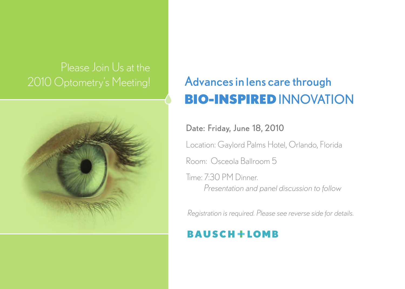

# 2010 Optometry's Meeting! Advances in lens care through BIO-INSPIRED INNOVATION

### Date: Friday, June 18, 2010

Location: Gaylord Palms Hotel, Orlando, Florida

Room: Osceola Ballroom 5

Time: 7:30 PM Dinner. *Presentation and panel discussion to follow*

*Registration is required. Please see reverse side for details.*

# **BAUSCH+LOMB**